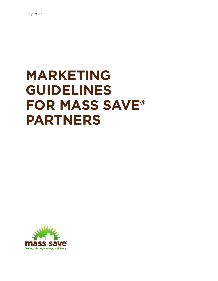# **MARKETING GUIDELINES FOR MASS SAVE® PARTNERS**

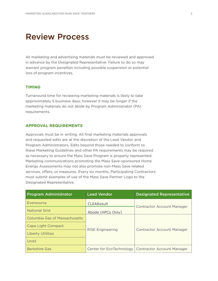# Review Process

All marketing and advertising materials must be reviewed and approved in advance by the Designated Representative. Failure to do so may warrant program penalties including possible suspension or potential loss of program incentives.

### **TIMING**

Turnaround time for reviewing marketing materials is likely to take approximately 5 business days; however it may be longer if the marketing materials do not abide by Program Administrator (PA) requirements.

#### **APPROVAL REQUIREMENTS**

Approvals must be in writing. All final marketing materials approvals and requested edits are at the discretion of the Lead Vendor and Program Administrators. Edits beyond those needed to conform to these Marketing Guidelines and other PA requirements may be required as necessary to ensure the Mass Save Program is properly represented. Marketing communications promoting the Mass Save-sponsored Home Energy Assessments may not also promote non-Mass Save related services, offers, or measures. Every six months, Participating Contractors must submit examples of use of the Mass Save Partner Logo to the Designated Representative.

| <b>Program Administrator</b>         | <b>Lead Vendor</b>      | <b>Designated Representative</b>                      |
|--------------------------------------|-------------------------|-------------------------------------------------------|
| Eversource                           | <b>CLEAResult</b>       |                                                       |
| <b>National Grid</b>                 | Abode (HPCs Only)       | <b>Contractor Account Manager</b>                     |
| <b>Columbia Gas of Massachusetts</b> | <b>RISE Engineering</b> | <b>Contractor Account Manager</b>                     |
| Cape Light Compact                   |                         |                                                       |
| <b>Liberty Utilities</b>             |                         |                                                       |
| Unitil                               |                         |                                                       |
| <b>Berkshire Gas</b>                 |                         | Center for EcoTechnology   Contractor Account Manager |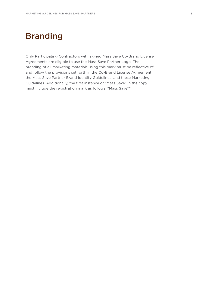# Branding

Only Participating Contractors with signed Mass Save Co-Brand License Agreements are eligible to use the Mass Save Partner Logo. The branding of all marketing materials using this mark must be reflective of and follow the provisions set forth in the Co-Brand License Agreement, the Mass Save Partner Brand Identity Guidelines, and these Marketing Guidelines. Additionally, the first instance of "Mass Save" in the copy must include the registration mark as follows: "Mass Save®".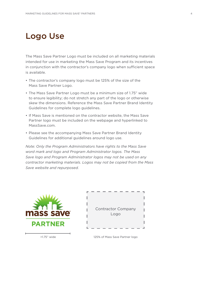# Logo Use

The Mass Save Partner Logo must be included on all marketing materials intended for use in marketing the Mass Save Program and its incentives in conjunction with the contractor's company logo when sufficient space is available.

- The contractor's company logo must be 125% of the size of the Mass Save Partner Logo.
- The Mass Save Partner Logo must be a minimum size of 1.75" wide to ensure legibility; do not stretch any part of the logo or otherwise skew the dimensions. Reference the Mass Save Partner Brand Identity Guidelines for complete logo guidelines.
- If Mass Save is mentioned on the contractor website, the Mass Save Partner logo must be included on the webpage and hyperlinked to MassSave.com.
- Please see the accompanying Mass Save Partner Brand Identity Guidelines for additional guidelines around logo use.

*Note: Only the Program Administrators have rights to the Mass Save word mark and logo and Program Administrator logos. The Mass Save logo and Program Administrator logos may not be used on any contractor marketing materials. Logos may not be copied from the Mass Save website and repurposed.*



| <b>Contractor Company</b><br>Logo |  |
|-----------------------------------|--|
|                                   |  |

>1.75" wide 125% of Mass Save Partner logo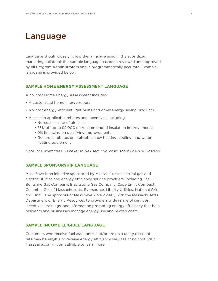### Language

Language should closely follow the language used in the subsidized marketing collateral; this sample language has been reviewed and approved by all Program Administrators and is programmatically accurate. Example language is provided below:

### **SAMPLE HOME ENERGY ASSESSMENT LANGUAGE**

A no-cost Home Energy Assessment includes:

- A customized home energy report
- No-cost energy-efficient light bulbs and other energy saving products
- Access to applicable rebates and incentives, including:
	- No-cost sealing of air leaks
	- 75% off up to \$2,000 on recommended insulation improvements
	- 0% financing on qualifying improvements
	- Generous rebates on high-efficiency heating, cooling, and water heating equipment

*Note: The word "free" is never to be used. "No-cost" should be used instead.*

### **SAMPLE SPONSORSHIP LANGUAGE**

Mass Save is an initiative sponsored by Massachusetts' natural gas and electric utilities and energy efficiency service providers, including The Berkshire Gas Company, Blackstone Gas Company, Cape Light Compact, Columbia Gas of Massachusetts, Eversource, Liberty Utilities, National Grid, and Unitil. The sponsors of Mass Save work closely with the Massachusetts Department of Energy Resources to provide a wide range of services, incentives, trainings, and information promoting energy efficiency that help residents and businesses manage energy use and related costs.

### **SAMPLE INCOME ELIGIBLE LANGUAGE**

Customers who receive fuel assistance and/or are on a utility discount rate may be eligible to receive energy efficiency services at no cost. Visit MassSave.com/IncomeEligible to learn more.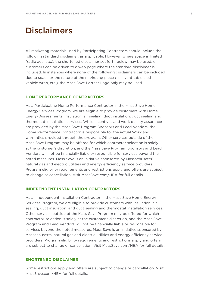# **Disclaimers**

All marketing materials used by Participating Contractors should include the following standard disclaimer, as applicable. However, where space is limited (radio ads, etc.), the shortened disclaimer set forth below may be used, or customers can be driven to a web page where the standard disclaimer is included. In instances where none of the following disclaimers can be included due to space or the nature of the marketing piece (i.e. event table cloth, vehicle wrap, etc.), the Mass Save Partner Logo only may be used.

#### **HOME PERFORMANCE CONTRACTORS**

As a Participating Home Performance Contractor in the Mass Save Home Energy Services Program, we are eligible to provide customers with Home Energy Assessments, insulation, air sealing, duct insulation, duct sealing and thermostat installation services. While incentives and work quality assurance are provided by the Mass Save Program Sponsors and Lead Vendors, the Home Performance Contractor is responsible for the actual Work and warranties provided through the program. Other services outside of the Mass Save Program may be offered for which contractor selection is solely at the customer's discretion, and the Mass Save Program Sponsors and Lead Vendors will not be financially liable or responsible for services beyond the noted measures. Mass Save is an initiative sponsored by Massachusetts' natural gas and electric utilities and energy efficiency service providers. Program eligibility requirements and restrictions apply and offers are subject to change or cancellation. Visit MassSave.com/HEA for full details.

### **INDEPENDENT INSTALLATION CONTRACTORS**

As an Independent Installation Contractor in the Mass Save Home Energy Services Program, we are eligible to provide customers with insulation, air sealing, duct insulation, and duct sealing and thermostat installation services. Other services outside of the Mass Save Program may be offered for which contractor selection is solely at the customer's discretion, and the Mass Save Program and Lead Vendors will not be financially liable or responsible for services beyond the noted measures. Mass Save is an initiative sponsored by Massachusetts' natural gas and electric utilities and energy efficiency service providers. Program eligibility requirements and restrictions apply and offers are subject to change or cancellation. Visit MassSave.com/HEA for full details.

#### **SHORTENED DISCLAIMER**

Some restrictions apply and offers are subject to change or cancellation. Visit MassSave.com/HEA for full details.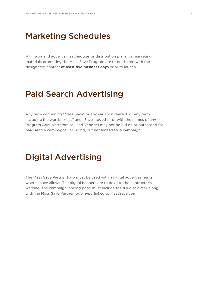### Marketing Schedules

All media and advertising schedules or distribution plans for marketing materials promoting the Mass Save Program are to be shared with the designated contact **at least five business days** prior to launch.

# Paid Search Advertising

Any term containing "Mass Save" or any variation thereof, or any term including the words "Mass" and "Save" together or with the names of any Program Administrators or Lead Vendors may not be bid on or purchased for paid search campaigns, including, but not limited to, a campaign.

# Digital Advertising

The Mass Save Partner logo must be used within digital advertisements where space allows. The digital banners are to drive to the contractor's website. The campaign landing page must include the full disclaimer along with the Mass Save Partner logo hyperlinked to MassSave.com.